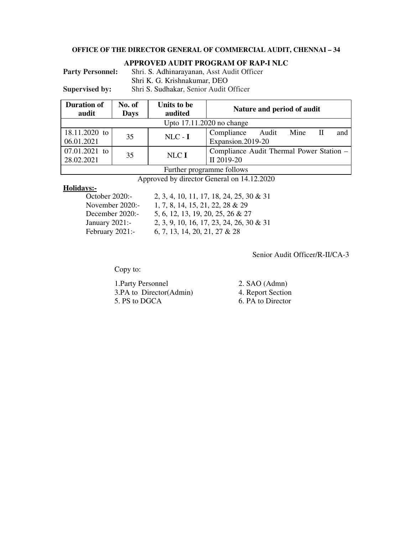#### **OFFICE OF THE DIRECTOR GENERAL OF COMMERCIAL AUDIT, CHENNAI – 34**

#### **APPROVED AUDIT PROGRAM OF RAP-I NLC**

Party Personnel: Shri. S. Adhinarayanan, Asst Audit Officer Shri K. G. Krishnakumar, DEO

**Supervised by:** Shri S. Sudhakar, Senior Audit Officer

| <b>Duration of</b><br>audit | No. of<br><b>Days</b> | Units to be<br>audited | Nature and period of audit                              |  |  |
|-----------------------------|-----------------------|------------------------|---------------------------------------------------------|--|--|
| Upto 17.11.2020 no change   |                       |                        |                                                         |  |  |
| 18.11.2020 to<br>06.01.2021 | 35                    | $NLC - I$              | Compliance<br>Mine<br>Audit<br>and<br>Expansion.2019-20 |  |  |
| 07.01.2021 to<br>28.02.2021 | 35                    | NLCI                   | Compliance Audit Thermal Power Station –<br>II 2019-20  |  |  |
| Further programme follows   |                       |                        |                                                         |  |  |

Approved by director General on 14.12.2020

# **Holidays:-**

2, 3, 4, 10, 11, 17, 18, 24, 25, 30 & 31 November 2020:- 1, 7, 8, 14, 15, 21, 22, 28 & 29 December 2020:- 5, 6, 12, 13, 19, 20, 25, 26 & 27 January 2021:- 2, 3, 9, 10, 16, 17, 23, 24, 26, 30 & 31 February 2021:- 6, 7, 13, 14, 20, 21, 27 & 28

Senior Audit Officer/R-II/CA-3

Copy to:

| 1. Party Personnel      | 2. SAO (Admn)     |
|-------------------------|-------------------|
| 3.PA to Director(Admin) | 4. Report Section |
| 5. PS to DGCA           | 6. PA to Director |